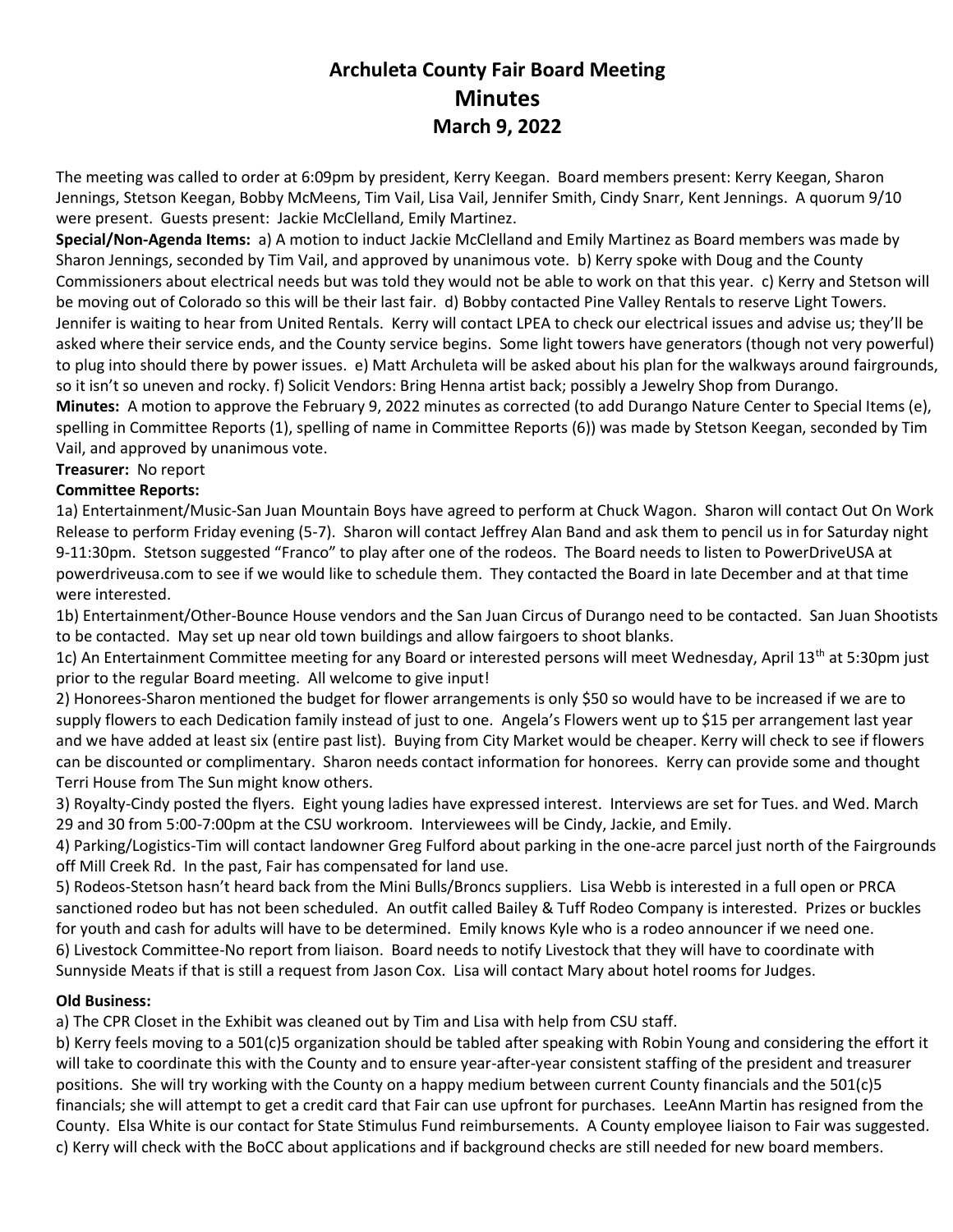# **Archuleta County Fair Board Meeting Minutes March 9, 2022**

The meeting was called to order at 6:09pm by president, Kerry Keegan. Board members present: Kerry Keegan, Sharon Jennings, Stetson Keegan, Bobby McMeens, Tim Vail, Lisa Vail, Jennifer Smith, Cindy Snarr, Kent Jennings. A quorum 9/10 were present. Guests present: Jackie McClelland, Emily Martinez.

**Special/Non-Agenda Items:** a) A motion to induct Jackie McClelland and Emily Martinez as Board members was made by Sharon Jennings, seconded by Tim Vail, and approved by unanimous vote. b) Kerry spoke with Doug and the County Commissioners about electrical needs but was told they would not be able to work on that this year. c) Kerry and Stetson will be moving out of Colorado so this will be their last fair. d) Bobby contacted Pine Valley Rentals to reserve Light Towers. Jennifer is waiting to hear from United Rentals. Kerry will contact LPEA to check our electrical issues and advise us; they'll be asked where their service ends, and the County service begins. Some light towers have generators (though not very powerful) to plug into should there by power issues. e) Matt Archuleta will be asked about his plan for the walkways around fairgrounds, so it isn't so uneven and rocky. f) Solicit Vendors: Bring Henna artist back; possibly a Jewelry Shop from Durango.

**Minutes:** A motion to approve the February 9, 2022 minutes as corrected (to add Durango Nature Center to Special Items (e), spelling in Committee Reports (1), spelling of name in Committee Reports (6)) was made by Stetson Keegan, seconded by Tim Vail, and approved by unanimous vote.

## **Treasurer:** No report

### **Committee Reports:**

1a) Entertainment/Music-San Juan Mountain Boys have agreed to perform at Chuck Wagon. Sharon will contact Out On Work Release to perform Friday evening (5-7). Sharon will contact Jeffrey Alan Band and ask them to pencil us in for Saturday night 9-11:30pm. Stetson suggested "Franco" to play after one of the rodeos. The Board needs to listen to PowerDriveUSA at powerdriveusa.com to see if we would like to schedule them. They contacted the Board in late December and at that time were interested.

1b) Entertainment/Other-Bounce House vendors and the San Juan Circus of Durango need to be contacted. San Juan Shootists to be contacted. May set up near old town buildings and allow fairgoers to shoot blanks.

1c) An Entertainment Committee meeting for any Board or interested persons will meet Wednesday, April 13<sup>th</sup> at 5:30pm just prior to the regular Board meeting. All welcome to give input!

2) Honorees-Sharon mentioned the budget for flower arrangements is only \$50 so would have to be increased if we are to supply flowers to each Dedication family instead of just to one. Angela's Flowers went up to \$15 per arrangement last year and we have added at least six (entire past list). Buying from City Market would be cheaper. Kerry will check to see if flowers can be discounted or complimentary. Sharon needs contact information for honorees. Kerry can provide some and thought Terri House from The Sun might know others.

3) Royalty-Cindy posted the flyers. Eight young ladies have expressed interest. Interviews are set for Tues. and Wed. March 29 and 30 from 5:00-7:00pm at the CSU workroom. Interviewees will be Cindy, Jackie, and Emily.

4) Parking/Logistics-Tim will contact landowner Greg Fulford about parking in the one-acre parcel just north of the Fairgrounds off Mill Creek Rd. In the past, Fair has compensated for land use.

5) Rodeos-Stetson hasn't heard back from the Mini Bulls/Broncs suppliers. Lisa Webb is interested in a full open or PRCA sanctioned rodeo but has not been scheduled. An outfit called Bailey & Tuff Rodeo Company is interested. Prizes or buckles for youth and cash for adults will have to be determined. Emily knows Kyle who is a rodeo announcer if we need one. 6) Livestock Committee-No report from liaison. Board needs to notify Livestock that they will have to coordinate with Sunnyside Meats if that is still a request from Jason Cox. Lisa will contact Mary about hotel rooms for Judges.

### **Old Business:**

a) The CPR Closet in the Exhibit was cleaned out by Tim and Lisa with help from CSU staff.

b) Kerry feels moving to a 501(c)5 organization should be tabled after speaking with Robin Young and considering the effort it will take to coordinate this with the County and to ensure year-after-year consistent staffing of the president and treasurer positions. She will try working with the County on a happy medium between current County financials and the 501(c)5 financials; she will attempt to get a credit card that Fair can use upfront for purchases. LeeAnn Martin has resigned from the County. Elsa White is our contact for State Stimulus Fund reimbursements. A County employee liaison to Fair was suggested. c) Kerry will check with the BoCC about applications and if background checks are still needed for new board members.